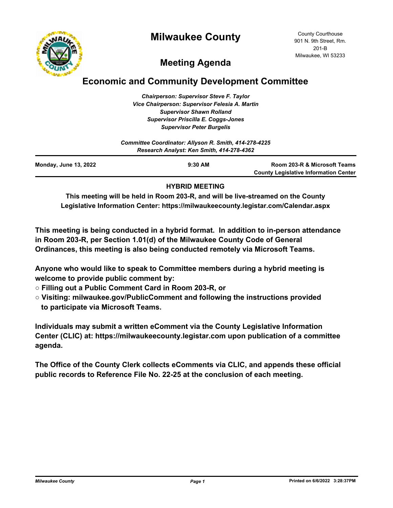



# **Meeting Agenda**

## **Economic and Community Development Committee**

*Chairperson: Supervisor Steve F. Taylor Vice Chairperson: Supervisor Felesia A. Martin Supervisor Shawn Rolland Supervisor Priscilla E. Coggs-Jones Supervisor Peter Burgelis*

| Committee Coordinator: Allyson R. Smith, 414-278-4225<br>Research Analyst: Ken Smith, 414-278-4362 |           |                                                                              |
|----------------------------------------------------------------------------------------------------|-----------|------------------------------------------------------------------------------|
| <b>Monday, June 13, 2022</b>                                                                       | $9:30$ AM | Room 203-R & Microsoft Teams<br><b>County Legislative Information Center</b> |

#### **HYBRID MEETING**

**This meeting will be held in Room 203-R, and will be live-streamed on the County Legislative Information Center: https://milwaukeecounty.legistar.com/Calendar.aspx**

**This meeting is being conducted in a hybrid format. In addition to in-person attendance in Room 203-R, per Section 1.01(d) of the Milwaukee County Code of General Ordinances, this meeting is also being conducted remotely via Microsoft Teams.**

**Anyone who would like to speak to Committee members during a hybrid meeting is welcome to provide public comment by:**

- **Filling out a Public Comment Card in Room 203-R, or**
- **Visiting: milwaukee.gov/PublicComment and following the instructions provided to participate via Microsoft Teams.**

**Individuals may submit a written eComment via the County Legislative Information Center (CLIC) at: https://milwaukeecounty.legistar.com upon publication of a committee agenda.**

**The Office of the County Clerk collects eComments via CLIC, and appends these official public records to Reference File No. 22-25 at the conclusion of each meeting.**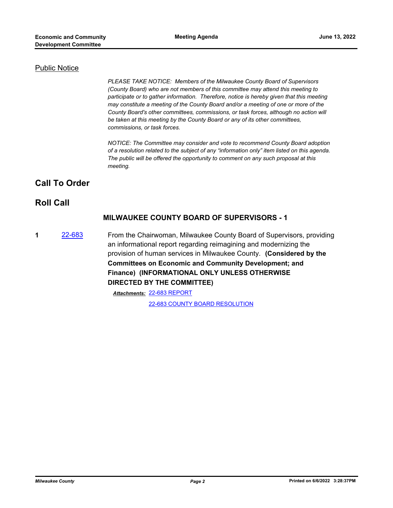#### Public Notice

*PLEASE TAKE NOTICE: Members of the Milwaukee County Board of Supervisors (County Board) who are not members of this committee may attend this meeting to participate or to gather information. Therefore, notice is hereby given that this meeting may constitute a meeting of the County Board and/or a meeting of one or more of the County Board's other committees, commissions, or task forces, although no action will be taken at this meeting by the County Board or any of its other committees, commissions, or task forces.*

*NOTICE: The Committee may consider and vote to recommend County Board adoption of a resolution related to the subject of any "information only" item listed on this agenda. The public will be offered the opportunity to comment on any such proposal at this meeting.*

## **Call To Order**

### **Roll Call**

#### **MILWAUKEE COUNTY BOARD OF SUPERVISORS - 1**

**1** [22-683](http://milwaukeecounty.legistar.com/gateway.aspx?m=l&id=/matter.aspx?key=12382) From the Chairwoman, Milwaukee County Board of Supervisors, providing an informational report regarding reimagining and modernizing the provision of human services in Milwaukee County. **(Considered by the Committees on Economic and Community Development; and Finance) (INFORMATIONAL ONLY UNLESS OTHERWISE DIRECTED BY THE COMMITTEE)**

> [22-683 REPORT](http://MilwaukeeCounty.legistar.com/gateway.aspx?M=F&ID=07dede02-3082-44b9-9edf-868983612797.pdf) *Attachments:* [22-683 COUNTY BOARD RESOLUTION](http://MilwaukeeCounty.legistar.com/gateway.aspx?M=F&ID=74e7dbad-9d04-401b-b91b-a0d68ddb1ba4.pdf)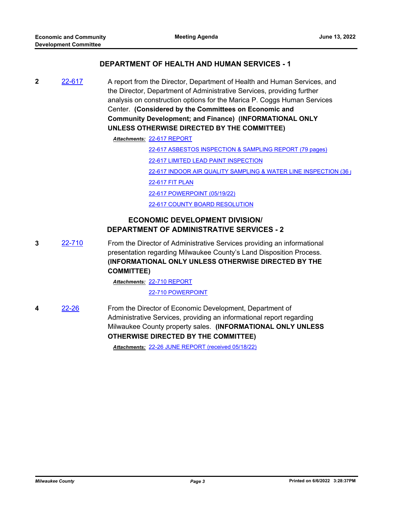#### **DEPARTMENT OF HEALTH AND HUMAN SERVICES - 1**

**2** [22-617](http://milwaukeecounty.legistar.com/gateway.aspx?m=l&id=/matter.aspx?key=12277) A report from the Director, Department of Health and Human Services, and the Director, Department of Administrative Services, providing further analysis on construction options for the Marica P. Coggs Human Services Center. **(Considered by the Committees on Economic and Community Development; and Finance) (INFORMATIONAL ONLY UNLESS OTHERWISE DIRECTED BY THE COMMITTEE)**

[22-617 REPORT](http://MilwaukeeCounty.legistar.com/gateway.aspx?M=F&ID=13e38118-1af7-4b49-bf9a-fb530cc86b0e.pdf) *Attachments:*

[22-617 ASBESTOS INSPECTION & SAMPLING REPORT \(79 pages\)](http://MilwaukeeCounty.legistar.com/gateway.aspx?M=F&ID=10f88d6e-352a-4304-8365-1c5db82a6049.pdf)

- [22-617 LIMITED LEAD PAINT INSPECTION](http://MilwaukeeCounty.legistar.com/gateway.aspx?M=F&ID=ff996775-c500-4042-aee5-e2ea0265953e.pdf)
- [22-617 INDOOR AIR QUALITY SAMPLING & WATER LINE INSPECTION \(36 p](http://MilwaukeeCounty.legistar.com/gateway.aspx?M=F&ID=2f7f1d2e-6273-4d1d-a90b-d3e5a0da0c4e.pdf)age)
- [22-617 FIT PLAN](http://MilwaukeeCounty.legistar.com/gateway.aspx?M=F&ID=881e9403-bc7b-43dd-ad0d-1c3aeaf97ca9.pdf)
- [22-617 POWERPOINT \(05/19/22\)](http://MilwaukeeCounty.legistar.com/gateway.aspx?M=F&ID=e60e47bf-458e-4482-b65b-20b870b76b0f.pdf)
- [22-617 COUNTY BOARD RESOLUTION](http://MilwaukeeCounty.legistar.com/gateway.aspx?M=F&ID=ee5e79d1-8d6c-4d74-98c5-6eb717861e67.pdf)

#### **ECONOMIC DEVELOPMENT DIVISION/ DEPARTMENT OF ADMINISTRATIVE SERVICES - 2**

**3** [22-710](http://milwaukeecounty.legistar.com/gateway.aspx?m=l&id=/matter.aspx?key=12409) From the Director of Administrative Services providing an informational presentation regarding Milwaukee County's Land Disposition Process. **(INFORMATIONAL ONLY UNLESS OTHERWISE DIRECTED BY THE COMMITTEE)**

[22-710 REPORT](http://MilwaukeeCounty.legistar.com/gateway.aspx?M=F&ID=9247b723-e8e2-499a-bddc-9f61743f9577.pdf) *Attachments:*

[22-710 POWERPOINT](http://MilwaukeeCounty.legistar.com/gateway.aspx?M=F&ID=c03a2163-55ec-4fe8-8052-4b7be6ba6192.pptx)

**4** [22-26](http://milwaukeecounty.legistar.com/gateway.aspx?m=l&id=/matter.aspx?key=11848) From the Director of Economic Development, Department of Administrative Services, providing an informational report regarding Milwaukee County property sales. **(INFORMATIONAL ONLY UNLESS OTHERWISE DIRECTED BY THE COMMITTEE)**

*Attachments:* [22-26 JUNE REPORT \(received 05/18/22\)](http://MilwaukeeCounty.legistar.com/gateway.aspx?M=F&ID=b8b3dcbb-e580-4be7-ac61-285139ce77bc.pdf)